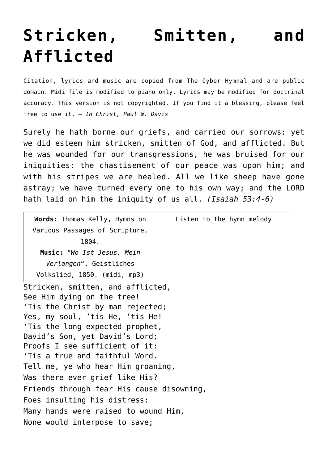## **[Stricken, Smitten, and](http://reproachofmen.org/hymns-and-music/stricken-smitten-and-afflicted/) [Afflicted](http://reproachofmen.org/hymns-and-music/stricken-smitten-and-afflicted/)**

Citation, lyrics and music are copied from [The Cyber Hymnal](http://www.hymntime.com/tch/index.htm) and are public domain. Midi file is modified to piano only. Lyrics may be modified for doctrinal accuracy. This version is not copyrighted. If you find it a blessing, please feel free to use it. — *In Christ, Paul W. Davis*

Surely he hath borne our griefs, and carried our sorrows: yet we did esteem him stricken, smitten of God, and afflicted. But he was wounded for our transgressions, he was bruised for our iniquities: the chastisement of our peace was upon him; and with his stripes we are healed. All we like sheep have gone astray; we have turned every one to his own way; and the LORD hath laid on him the iniquity of us all. *(Isaiah 53:4-6)*

| Listen to the hymn melody                 |
|-------------------------------------------|
|                                           |
|                                           |
|                                           |
|                                           |
|                                           |
| Stricken, smitten, and afflicted,         |
|                                           |
| 'Tis the Christ by man rejected;          |
| Yes, my soul, 'tis He, 'tis He!           |
| 'Tis the long expected prophet,           |
| David's Son, yet David's Lord;            |
| Proofs I see sufficient of it:            |
| 'Tis a true and faithful Word.            |
| Tell me, ye who hear Him groaning,        |
| Was there ever grief like His?            |
| Friends through fear His cause disowning, |
|                                           |
|                                           |

Many hands were raised to wound Him,

None would interpose to save;